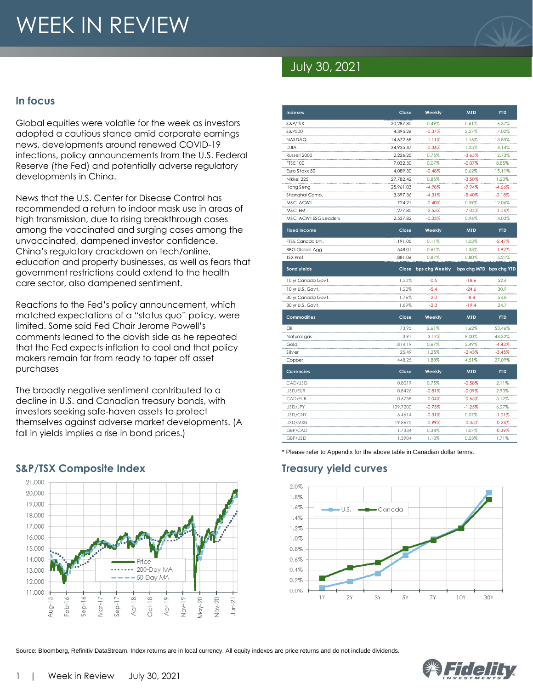# WEEK IN REVIEW



## July 30, 2021

#### **In focus**

Global equities were volatile for the week as investors adopted a cautious stance amid corporate earnings news, developments around renewed COVID-19 infections, policy announcements from the U.S. Federal Reserve (the Fed) and potentially adverse regulatory developments in China.

News that the U.S. Center for Disease Control has recommended a return to indoor mask use in areas of high transmission, due to rising breakthrough cases among the vaccinated and surging cases among the unvaccinated, dampened investor confidence. China's regulatory crackdown on tech/online, education and property businesses, as well as fears that government restrictions could extend to the health care sector, also dampened sentiment.

Reactions to the Fed's policy announcement, which matched expectations of a "status quo" policy, were limited. Some said Fed Chair Jerome Powell's comments leaned to the dovish side as he repeated that the Fed expects inflation to cool and that policy makers remain far from ready to taper off asset purchases

The broadly negative sentiment contributed to a decline in U.S. and Canadian treasury bonds, with investors seeking safe-haven assets to protect themselves against adverse market developments. (A fall in yields implies a rise in bond prices.)

#### 21.000 20.000 19,000 18.000 17.000 16.000 15,000 14,000 Price •• 200-Day MA 13,000 50-Day MA 12,000 11.000 L)  $\breve{\phantom{a}}$  $\approx$  $Oct-18$  $\overline{ }$  $\mathop{=}^{\circ}$  $Nov-19$  $\sqrt{a}$ y-20 g  $J$ un-21 Aug-1  $\frac{1}{\Phi}$ Vlar-1 -de.  $rac{b}{\theta}$ ģ. å-><br>>

| S&P/TSX                      | 20,287.80 | 0.49%                | 0.61%                   | 16.37%     |
|------------------------------|-----------|----------------------|-------------------------|------------|
| S&P500                       | 4,395.26  | $-0.37%$             | 2.27%                   | 17.02%     |
| NASDAQ                       | 14,672.68 | $-1.11%$             | 1.16%                   | 13.85%     |
| <b>DJIA</b>                  | 34,935.47 | $-0.36%$             | 1.25%                   | 14.14%     |
| Russell 2000                 | 2,226.25  | 0.75%                | $-3.65%$                | 12.73%     |
| <b>FTSE 100</b>              | 7,032.30  | 0.07%                | $-0.07%$                | 8.85%      |
| Euro Stoxx 50                | 4,089.30  | $-0.48%$             | 0.62%                   | 15.11%     |
| Nikkei 225                   | 27,782.42 | 0.85%                | $-3.50%$                | 1.23%      |
| Hang Seng                    | 25,961.03 | $-4.98%$             | $-9.94%$                | $-4.66%$   |
| Shanghai Comp.               | 3,397.36  | $-4.31%$             | $-5.40%$                | $-2.18%$   |
| MSCI ACWI                    | 724.21    | $-0.40%$             | 0.59%                   | 12.06%     |
| MSCI EM                      | 1,277.80  | $-2.55%$             | $-7.04%$                | $-1.04%$   |
| <b>MSCI ACWI ESG Leaders</b> | 2,537.82  | $-0.33%$             | 0.96%                   | 14.03%     |
| <b>Fixed income</b>          | Close     | Weekly               | <b>MTD</b>              | <b>YTD</b> |
| FTSE Canada Uni.             | 1,191.05  | 0.11%                | 1.03%                   | $-2.47%$   |
| <b>BBG Global Agg.</b>       | 548.01    | 0.61%                | 1.33%                   | $-1.92%$   |
| <b>TSX</b> Pref              | 1,881.06  | 0.87%                | 0.80%                   | 15.21%     |
| <b>Bond yields</b>           |           | Close bps chg Weekly | bps chg MTD bps chg YTD |            |
| 10 yr Canada Govt.           | 1.20%     | $-0.5$               | $-18.6$                 | 52.6       |
| 10 yr U.S. Govt.             | 1.22%     | $-5.4$               | $-24.6$                 | 30.9       |
| 30 yr Canada Govt.           | 1.76%     | $-2.0$               | $-8.4$                  | 54.8       |
| 30 yr U.S. Govt.             | 1.89%     | $-2.3$               | $-19.4$                 | 24.7       |
| <b>Commodities</b>           | Close     | Weekly               | <b>MTD</b>              | <b>YTD</b> |
| Oil                          | 73.95     | 2.61%                | 1.62%                   | 53.46%     |
| Natural gas                  | 3.91      | $-3.17%$             | 8.00%                   | 44.32%     |
| Gold                         | 1,814.19  | 0.67%                | 2.49%                   | $-4.43%$   |
| Silver                       | 25.49     | 1.25%                | $-2.43%$                | $-3.45%$   |
| Copper                       | 448.25    | 1.88%                | 4.51%                   | 27.09%     |
| <b>Currencies</b>            | Close     | Weekly               | <b>MTD</b>              | <b>YTD</b> |
| CAD/USD                      | 0.8019    | 0.75%                | $-0.58%$                | 2.11%      |
| USD/EUR                      | 0.8426    | $-0.81%$             | $-0.09%$                | 2.93%      |
| CAD/EUR                      | 0.6758    | $-0.04%$             | $-0.65%$                | 5.12%      |
| USD/JPY                      | 109.7200  | $-0.75%$             | $-1.25%$                | 6.27%      |
| USD/CNY                      | 6.4614    | $-0.31%$             | 0.07%                   | $-1.01%$   |
| USD/MXN                      | 19.8675   | $-0.99%$             | $-0.35%$                | $-0.24%$   |
| GBP/CAD                      | 1.7334    | 0.34%                | 1.07%                   | $-0.39%$   |

**Indexes Close Weekly MTD YTD**

\* Please refer to Appendix for the above table in Canadian dollar terms.

#### **S&P/TSX Composite Index Treasury yield curves**



GBP/USD 1.3904 1.13% 0.53% 1.71%

Source: Bloomberg, Refinitiv DataStream. Index returns are in local currency. All equity indexes are price returns and do not include dividends.

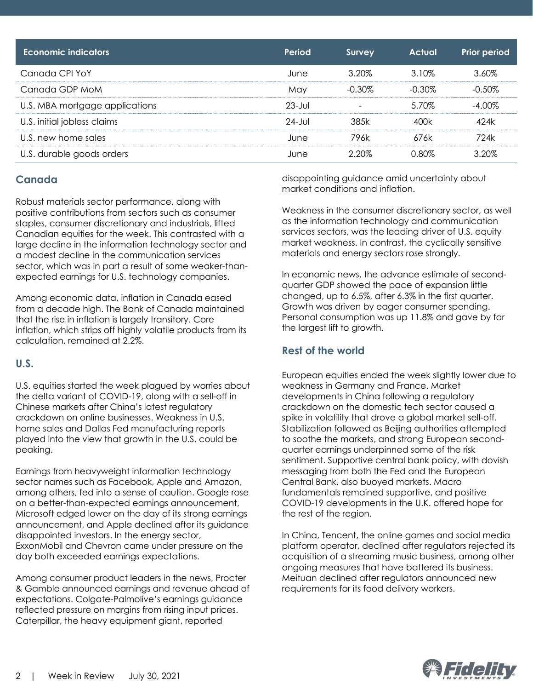| Economic indicators            | Period      | <b>Survey</b> | <b>Actual</b> | <b>Prior period</b> |
|--------------------------------|-------------|---------------|---------------|---------------------|
| Canada CPI YoY                 | June        | 3.20%         | 3.10%         | 3.60%               |
| Canada GDP MoM                 | May         | $-0.30\%$     | $-0.30\%$     | $-0.50\%$           |
| U.S. MBA mortgage applications | $23 - Jul$  |               | 5.70%         | $-4.00\%$           |
| U.S. initial jobless claims    | $24 - J$ ul | 385k          | 400k          | 424k                |
| U.S. new home sales            | June        | 796k          | 676k          | 724k                |
| U.S. durable goods orders      | June        | 2.20%         | 0.80%         | 3.20%               |

#### **Canada**

Robust materials sector performance, along with positive contributions from sectors such as consumer staples, consumer discretionary and industrials, lifted Canadian equities for the week. This contrasted with a large decline in the information technology sector and a modest decline in the communication services sector, which was in part a result of some weaker-thanexpected earnings for U.S. technology companies.

Among economic data, inflation in Canada eased from a decade high. The Bank of Canada maintained that the rise in inflation is largely transitory. Core inflation, which strips off highly volatile products from its calculation, remained at 2.2%.

#### **U.S.**

U.S. equities started the week plagued by worries about the delta variant of COVID-19, along with a sell-off in Chinese markets after China's latest regulatory crackdown on online businesses. Weakness in U.S. home sales and Dallas Fed manufacturing reports played into the view that growth in the U.S. could be peaking.

Earnings from heavyweight information technology sector names such as Facebook, Apple and Amazon, among others, fed into a sense of caution. Google rose on a better-than-expected earnings announcement, Microsoft edged lower on the day of its strong earnings announcement, and Apple declined after its guidance disappointed investors. In the energy sector, ExxonMobil and Chevron came under pressure on the day both exceeded earnings expectations.

Among consumer product leaders in the news, Procter & Gamble announced earnings and revenue ahead of expectations. Colgate-Palmolive's earnings guidance reflected pressure on margins from rising input prices. Caterpillar, the heavy equipment giant, reported

disappointing guidance amid uncertainty about market conditions and inflation.

Weakness in the consumer discretionary sector, as well as the information technology and communication services sectors, was the leading driver of U.S. equity market weakness. In contrast, the cyclically sensitive materials and energy sectors rose strongly.

In economic news, the advance estimate of secondquarter GDP showed the pace of expansion little changed, up to 6.5%, after 6.3% in the first quarter. Growth was driven by eager consumer spending. Personal consumption was up 11.8% and gave by far the largest lift to growth.

#### **Rest of the world**

European equities ended the week slightly lower due to weakness in Germany and France. Market developments in China following a regulatory crackdown on the domestic tech sector caused a spike in volatility that drove a global market sell-off. Stabilization followed as Beijing authorities attempted to soothe the markets, and strong European secondquarter earnings underpinned some of the risk sentiment. Supportive central bank policy, with dovish messaging from both the Fed and the European Central Bank, also buoyed markets. Macro fundamentals remained supportive, and positive COVID-19 developments in the U.K. offered hope for the rest of the region.

In China, Tencent, the online games and social media platform operator, declined after regulators rejected its acquisition of a streaming music business, among other ongoing measures that have battered its business. Meituan declined after regulators announced new requirements for its food delivery workers.

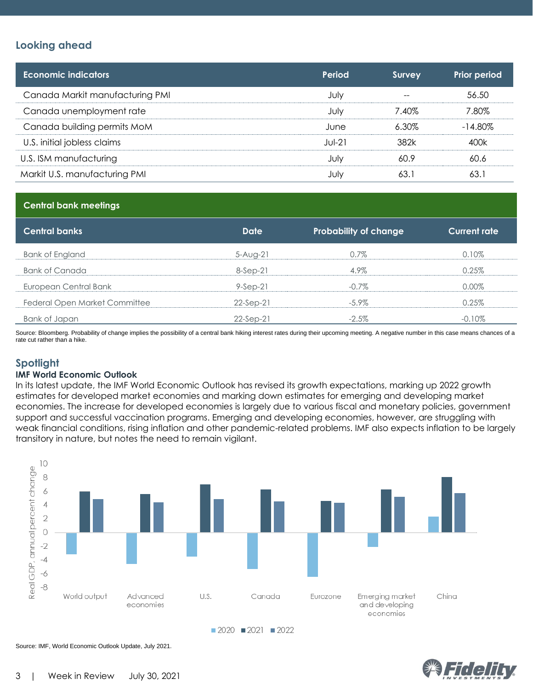#### **Looking ahead**

| <b>Economic indicators</b>      | Period   | Survey | <b>Prior period</b> |
|---------------------------------|----------|--------|---------------------|
| Canada Markit manufacturing PMI | July     |        | 56.50               |
| Canada unemployment rate        | July     | 7.40%  | 7.80%               |
| Canada building permits MoM     | June     | 6.30%  | $-14.80\%$          |
| U.S. initial jobless claims     | $Jul-21$ | 382k   | 400k                |
| U.S. ISM manufacturing          | July     | 60.9   | 60.6                |
| Markit U.S. manufacturing PMI   | July     | 63.1   | 63.1                |

#### **Central bank meetings**

| <b>Central banks</b>          | <b>Date</b> | <b>Probability of change</b> | <b>Current rate</b> |
|-------------------------------|-------------|------------------------------|---------------------|
| Bank of England               | $5-Auq-21$  | 0.7%                         | 0.10%               |
| Bank of Canada                | $8-Sep-21$  | 4.9%                         | 0.25%               |
| European Central Bank         | $9-Sep-21$  | $-0.7\%$                     | $0.00\%$            |
| Federal Open Market Committee | $22-Sep-21$ | $-5.9\%$                     | 0.25%               |
| Bank of Japan                 | $22-Sep-21$ | $-2.5\%$                     | $-0.10\%$           |

Source: Bloomberg. Probability of change implies the possibility of a central bank hiking interest rates during their upcoming meeting. A negative number in this case means chances of a rate cut rather than a hike.

#### **Spotlight**

#### **IMF World Economic Outlook**

In its latest update, the IMF World Economic Outlook has revised its growth expectations, marking up 2022 growth estimates for developed market economies and marking down estimates for emerging and developing market economies. The increase for developed economies is largely due to various fiscal and monetary policies, government support and successful vaccination programs. Emerging and developing economies, however, are struggling with weak financial conditions, rising inflation and other pandemic-related problems. IMF also expects inflation to be largely transitory in nature, but notes the need to remain vigilant.



Ficell

Source: IMF, World Economic Outlook Update, July 2021.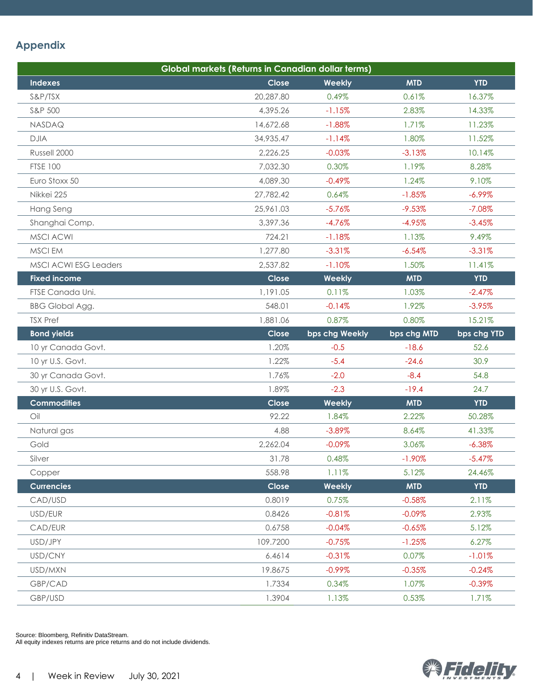### **Appendix**

|                              | Global markets (Returns in Canadian dollar terms) |                |             |             |
|------------------------------|---------------------------------------------------|----------------|-------------|-------------|
| <b>Indexes</b>               | Close                                             | Weekly         | <b>MTD</b>  | <b>YTD</b>  |
| S&P/TSX                      | 20,287.80                                         | 0.49%          | 0.61%       | 16.37%      |
| S&P 500                      | 4,395.26                                          | $-1.15%$       | 2.83%       | 14.33%      |
| NASDAQ                       | 14,672.68                                         | $-1.88%$       | 1.71%       | 11.23%      |
| <b>DJIA</b>                  | 34,935.47                                         | $-1.14%$       | 1.80%       | 11.52%      |
| Russell 2000                 | 2,226.25                                          | $-0.03%$       | $-3.13%$    | 10.14%      |
| <b>FTSE 100</b>              | 7,032.30                                          | 0.30%          | 1.19%       | 8.28%       |
| Euro Stoxx 50                | 4,089.30                                          | $-0.49%$       | 1.24%       | 9.10%       |
| Nikkei 225                   | 27,782.42                                         | 0.64%          | $-1.85%$    | $-6.99\%$   |
| Hang Seng                    | 25,961.03                                         | $-5.76%$       | $-9.53%$    | $-7.08%$    |
| Shanghai Comp.               | 3,397.36                                          | $-4.76%$       | $-4.95%$    | $-3.45%$    |
| <b>MSCI ACWI</b>             | 724.21                                            | $-1.18%$       | 1.13%       | 9.49%       |
| MSCI EM                      | 1,277.80                                          | $-3.31%$       | $-6.54%$    | $-3.31%$    |
| <b>MSCI ACWI ESG Leaders</b> | 2,537.82                                          | $-1.10%$       | 1.50%       | 11.41%      |
| <b>Fixed income</b>          | Close                                             | Weekly         | <b>MTD</b>  | <b>YTD</b>  |
| FTSE Canada Uni.             | 1,191.05                                          | 0.11%          | 1.03%       | $-2.47%$    |
| <b>BBG Global Agg.</b>       | 548.01                                            | $-0.14%$       | 1.92%       | $-3.95%$    |
| <b>TSX Pref</b>              | 1,881.06                                          | 0.87%          | 0.80%       | 15.21%      |
| <b>Bond yields</b>           | Close                                             | bps chg Weekly | bps chg MTD | bps chg YTD |
| 10 yr Canada Govt.           | 1.20%                                             | $-0.5$         | $-18.6$     | 52.6        |
| 10 yr U.S. Govt.             | 1.22%                                             | $-5.4$         | $-24.6$     | 30.9        |
| 30 yr Canada Govt.           | 1.76%                                             | $-2.0$         | $-8.4$      | 54.8        |
| 30 yr U.S. Govt.             | 1.89%                                             | $-2.3$         | $-19.4$     | 24.7        |
| <b>Commodities</b>           | Close                                             | Weekly         | <b>MTD</b>  | <b>YTD</b>  |
| Oil                          | 92.22                                             | 1.84%          | 2.22%       | 50.28%      |
| Natural gas                  | 4.88                                              | $-3.89%$       | 8.64%       | 41.33%      |
| Gold                         | 2,262.04                                          | $-0.09%$       | 3.06%       | $-6.38\%$   |
| Silver                       | 31.78                                             | 0.48%          | $-1.90%$    | $-5.47%$    |
| Copper                       | 558.98                                            | 1.11%          | 5.12%       | 24.46%      |
| <b>Currencies</b>            | Close                                             | Weekly         | <b>MTD</b>  | <b>YTD</b>  |
| CAD/USD                      | 0.8019                                            | 0.75%          | $-0.58%$    | 2.11%       |
| USD/EUR                      | 0.8426                                            | $-0.81%$       | $-0.09\%$   | 2.93%       |
| CAD/EUR                      | 0.6758                                            | $-0.04%$       | $-0.65%$    | 5.12%       |
| USD/JPY                      | 109.7200                                          | $-0.75%$       | $-1.25%$    | 6.27%       |
| USD/CNY                      | 6.4614                                            | $-0.31%$       | 0.07%       | $-1.01%$    |
| USD/MXN                      | 19.8675                                           | $-0.99%$       | $-0.35%$    | $-0.24%$    |
| GBP/CAD                      | 1.7334                                            | 0.34%          | 1.07%       | $-0.39%$    |
| GBP/USD                      | 1.3904                                            | 1.13%          | 0.53%       | 1.71%       |

Source: Bloomberg, Refinitiv DataStream.

All equity indexes returns are price returns and do not include dividends.